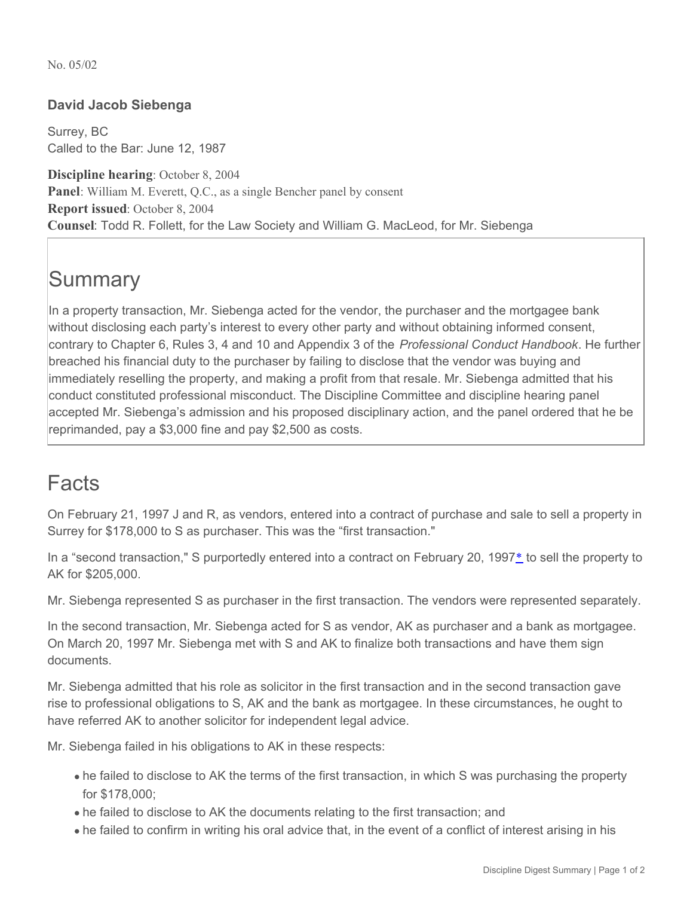No. 05/02

## **David Jacob Siebenga**

Surrey, BC Called to the Bar: June 12, 1987

**Discipline hearing**: October 8, 2004 **Panel**: William M. Everett, Q.C., as a single Bencher panel by consent **Report issued**: October 8, 2004 **Counsel**: Todd R. Follett, for the Law Society and William G. MacLeod, for Mr. Siebenga

## **Summary**

In a property transaction, Mr. Siebenga acted for the vendor, the purchaser and the mortgagee bank without disclosing each party's interest to every other party and without obtaining informed consent, contrary to Chapter 6, Rules 3, 4 and 10 and Appendix 3 of the *Professional Conduct Handbook*. He further breached his financial duty to the purchaser by failing to disclose that the vendor was buying and immediately reselling the property, and making a profit from that resale. Mr. Siebenga admitted that his conduct constituted professional misconduct. The Discipline Committee and discipline hearing panel accepted Mr. Siebenga's admission and his proposed disciplinary action, and the panel ordered that he be reprimanded, pay a \$3,000 fine and pay \$2,500 as costs.

## Facts

On February 21, 1997 J and R, as vendors, entered into a contract of purchase and sale to sell a property in Surrey for \$178,000 to S as purchaser. This was the "first transaction."

In a "second transaction," S purportedly entered into a contract on February 20, 1997<sup>[\\*](http://dev.www.lawsociety.bc.ca/#note)</sup> to sell the property to AK for \$205,000.

Mr. Siebenga represented S as purchaser in the first transaction. The vendors were represented separately.

In the second transaction, Mr. Siebenga acted for S as vendor, AK as purchaser and a bank as mortgagee. On March 20, 1997 Mr. Siebenga met with S and AK to finalize both transactions and have them sign documents.

Mr. Siebenga admitted that his role as solicitor in the first transaction and in the second transaction gave rise to professional obligations to S, AK and the bank as mortgagee. In these circumstances, he ought to have referred AK to another solicitor for independent legal advice.

Mr. Siebenga failed in his obligations to AK in these respects:

- he failed to disclose to AK the terms of the first transaction, in which S was purchasing the property for \$178,000;
- he failed to disclose to AK the documents relating to the first transaction; and
- he failed to confirm in writing his oral advice that, in the event of a conflict of interest arising in his